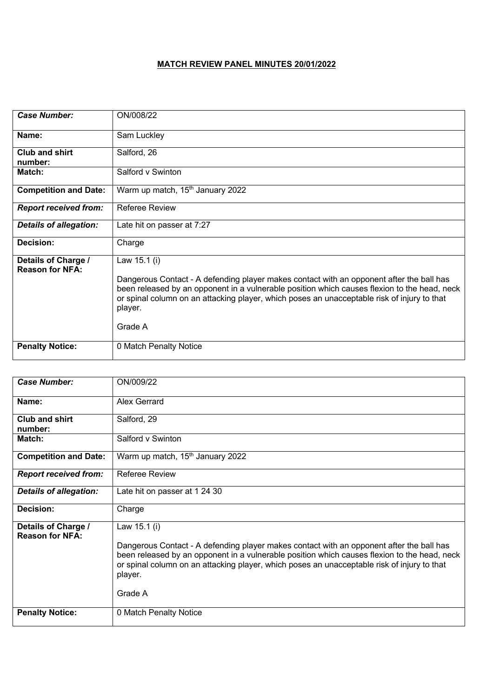## **MATCH REVIEW PANEL MINUTES 20/01/2022**

| <b>Case Number:</b>                           | ON/008/22                                                                                                                                                                                                                                                                                                                     |
|-----------------------------------------------|-------------------------------------------------------------------------------------------------------------------------------------------------------------------------------------------------------------------------------------------------------------------------------------------------------------------------------|
| Name:                                         | Sam Luckley                                                                                                                                                                                                                                                                                                                   |
| <b>Club and shirt</b><br>number:              | Salford, 26                                                                                                                                                                                                                                                                                                                   |
| Match:                                        | Salford v Swinton                                                                                                                                                                                                                                                                                                             |
| <b>Competition and Date:</b>                  | Warm up match, 15 <sup>th</sup> January 2022                                                                                                                                                                                                                                                                                  |
| <b>Report received from:</b>                  | <b>Referee Review</b>                                                                                                                                                                                                                                                                                                         |
| <b>Details of allegation:</b>                 | Late hit on passer at 7:27                                                                                                                                                                                                                                                                                                    |
| <b>Decision:</b>                              | Charge                                                                                                                                                                                                                                                                                                                        |
| Details of Charge /<br><b>Reason for NFA:</b> | Law 15.1 (i)<br>Dangerous Contact - A defending player makes contact with an opponent after the ball has<br>been released by an opponent in a vulnerable position which causes flexion to the head, neck<br>or spinal column on an attacking player, which poses an unacceptable risk of injury to that<br>player.<br>Grade A |
| <b>Penalty Notice:</b>                        | 0 Match Penalty Notice                                                                                                                                                                                                                                                                                                        |

| <b>Case Number:</b>                           | ON/009/22                                                                                                                                                                                                                                                                                                                     |
|-----------------------------------------------|-------------------------------------------------------------------------------------------------------------------------------------------------------------------------------------------------------------------------------------------------------------------------------------------------------------------------------|
| Name:                                         | Alex Gerrard                                                                                                                                                                                                                                                                                                                  |
| <b>Club and shirt</b><br>number:              | Salford, 29                                                                                                                                                                                                                                                                                                                   |
| Match:                                        | Salford v Swinton                                                                                                                                                                                                                                                                                                             |
| <b>Competition and Date:</b>                  | Warm up match, 15 <sup>th</sup> January 2022                                                                                                                                                                                                                                                                                  |
| <b>Report received from:</b>                  | Referee Review                                                                                                                                                                                                                                                                                                                |
| <b>Details of allegation:</b>                 | Late hit on passer at 1 24 30                                                                                                                                                                                                                                                                                                 |
| Decision:                                     | Charge                                                                                                                                                                                                                                                                                                                        |
| Details of Charge /<br><b>Reason for NFA:</b> | Law 15.1 (i)<br>Dangerous Contact - A defending player makes contact with an opponent after the ball has<br>been released by an opponent in a vulnerable position which causes flexion to the head, neck<br>or spinal column on an attacking player, which poses an unacceptable risk of injury to that<br>player.<br>Grade A |
| <b>Penalty Notice:</b>                        | 0 Match Penalty Notice                                                                                                                                                                                                                                                                                                        |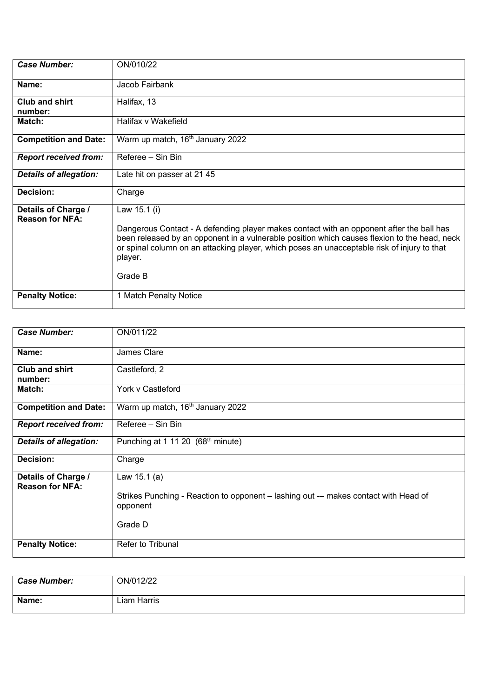| <b>Case Number:</b>                           | ON/010/22                                                                                                                                                                                                                                                                                                                     |
|-----------------------------------------------|-------------------------------------------------------------------------------------------------------------------------------------------------------------------------------------------------------------------------------------------------------------------------------------------------------------------------------|
| Name:                                         | Jacob Fairbank                                                                                                                                                                                                                                                                                                                |
| Club and shirt<br>number:                     | Halifax, 13                                                                                                                                                                                                                                                                                                                   |
| Match:                                        | Halifax v Wakefield                                                                                                                                                                                                                                                                                                           |
| <b>Competition and Date:</b>                  | Warm up match, 16 <sup>th</sup> January 2022                                                                                                                                                                                                                                                                                  |
| <b>Report received from:</b>                  | Referee - Sin Bin                                                                                                                                                                                                                                                                                                             |
| <b>Details of allegation:</b>                 | Late hit on passer at 2145                                                                                                                                                                                                                                                                                                    |
| Decision:                                     | Charge                                                                                                                                                                                                                                                                                                                        |
| Details of Charge /<br><b>Reason for NFA:</b> | Law 15.1 (i)<br>Dangerous Contact - A defending player makes contact with an opponent after the ball has<br>been released by an opponent in a vulnerable position which causes flexion to the head, neck<br>or spinal column on an attacking player, which poses an unacceptable risk of injury to that<br>player.<br>Grade B |
| <b>Penalty Notice:</b>                        | 1 Match Penalty Notice                                                                                                                                                                                                                                                                                                        |

| <b>Case Number:</b>                           | ON/011/22                                                                                                                   |
|-----------------------------------------------|-----------------------------------------------------------------------------------------------------------------------------|
| Name:                                         | James Clare                                                                                                                 |
| <b>Club and shirt</b><br>number:              | Castleford, 2                                                                                                               |
| Match:                                        | York v Castleford                                                                                                           |
| <b>Competition and Date:</b>                  | Warm up match, 16 <sup>th</sup> January 2022                                                                                |
| <b>Report received from:</b>                  | Referee - Sin Bin                                                                                                           |
| <b>Details of allegation:</b>                 | Punching at 1 11 20 (68 <sup>th</sup> minute)                                                                               |
| Decision:                                     | Charge                                                                                                                      |
| Details of Charge /<br><b>Reason for NFA:</b> | Law $15.1(a)$<br>Strikes Punching - Reaction to opponent – lashing out -- makes contact with Head of<br>opponent<br>Grade D |
| <b>Penalty Notice:</b>                        | <b>Refer to Tribunal</b>                                                                                                    |

| <b>Case Number:</b> | ON/012/22   |
|---------------------|-------------|
| Name:               | Liam Harris |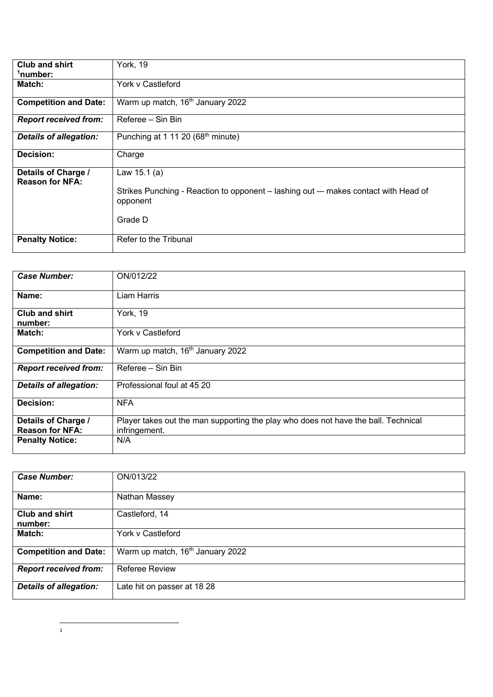| <b>Club and shirt</b><br><sup>1</sup> number: | York, 19                                                                                                                     |
|-----------------------------------------------|------------------------------------------------------------------------------------------------------------------------------|
| Match:                                        | York v Castleford                                                                                                            |
| <b>Competition and Date:</b>                  | Warm up match, 16 <sup>th</sup> January 2022                                                                                 |
| <b>Report received from:</b>                  | Referee - Sin Bin                                                                                                            |
| <b>Details of allegation:</b>                 | Punching at 1 11 20 (68 <sup>th</sup> minute)                                                                                |
| Decision:                                     | Charge                                                                                                                       |
| Details of Charge /<br><b>Reason for NFA:</b> | Law $15.1$ (a)<br>Strikes Punching - Reaction to opponent – lashing out -- makes contact with Head of<br>opponent<br>Grade D |
| <b>Penalty Notice:</b>                        | Refer to the Tribunal                                                                                                        |

| <b>Case Number:</b>                           | ON/012/22                                                                                           |
|-----------------------------------------------|-----------------------------------------------------------------------------------------------------|
|                                               |                                                                                                     |
| Name:                                         | Liam Harris                                                                                         |
| <b>Club and shirt</b><br>number:              | York, 19                                                                                            |
| Match:                                        | York v Castleford                                                                                   |
| <b>Competition and Date:</b>                  | Warm up match, 16 <sup>th</sup> January 2022                                                        |
| <b>Report received from:</b>                  | Referee - Sin Bin                                                                                   |
| <b>Details of allegation:</b>                 | Professional foul at 45 20                                                                          |
| Decision:                                     | <b>NFA</b>                                                                                          |
| Details of Charge /<br><b>Reason for NFA:</b> | Player takes out the man supporting the play who does not have the ball. Technical<br>infringement. |
| <b>Penalty Notice:</b>                        | N/A                                                                                                 |

| <b>Case Number:</b>           | ON/013/22                                    |
|-------------------------------|----------------------------------------------|
|                               |                                              |
| Name:                         | Nathan Massey                                |
| <b>Club and shirt</b>         | Castleford, 14                               |
|                               |                                              |
| number:                       |                                              |
|                               |                                              |
| <b>Match:</b>                 | York v Castleford                            |
|                               |                                              |
| <b>Competition and Date:</b>  | Warm up match, 16 <sup>th</sup> January 2022 |
|                               |                                              |
|                               |                                              |
|                               | <b>Referee Review</b>                        |
| <b>Report received from:</b>  |                                              |
|                               |                                              |
| <b>Details of allegation:</b> | Late hit on passer at 18 28                  |
|                               |                                              |
|                               |                                              |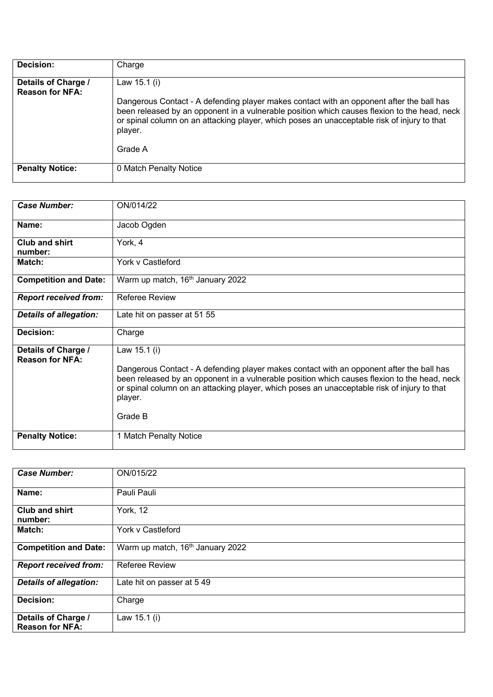| Decision:                                     | Charge                                                                                                                                                                                                                                                                                                    |
|-----------------------------------------------|-----------------------------------------------------------------------------------------------------------------------------------------------------------------------------------------------------------------------------------------------------------------------------------------------------------|
| Details of Charge /<br><b>Reason for NFA:</b> | Law $15.1$ (i)<br>Dangerous Contact - A defending player makes contact with an opponent after the ball has<br>been released by an opponent in a vulnerable position which causes flexion to the head, neck<br>or spinal column on an attacking player, which poses an unacceptable risk of injury to that |
|                                               | player.<br>Grade A                                                                                                                                                                                                                                                                                        |
| <b>Penalty Notice:</b>                        | 0 Match Penalty Notice                                                                                                                                                                                                                                                                                    |

| <b>Case Number:</b>                           | ON/014/22                                                                                                                                                                                                                                                                                                                     |
|-----------------------------------------------|-------------------------------------------------------------------------------------------------------------------------------------------------------------------------------------------------------------------------------------------------------------------------------------------------------------------------------|
| Name:                                         | Jacob Ogden                                                                                                                                                                                                                                                                                                                   |
| <b>Club and shirt</b><br>number:              | York, 4                                                                                                                                                                                                                                                                                                                       |
| Match:                                        | York v Castleford                                                                                                                                                                                                                                                                                                             |
| <b>Competition and Date:</b>                  | Warm up match, 16 <sup>th</sup> January 2022                                                                                                                                                                                                                                                                                  |
| <b>Report received from:</b>                  | Referee Review                                                                                                                                                                                                                                                                                                                |
| Details of allegation:                        | Late hit on passer at 51 55                                                                                                                                                                                                                                                                                                   |
| Decision:                                     | Charge                                                                                                                                                                                                                                                                                                                        |
| Details of Charge /<br><b>Reason for NFA:</b> | Law 15.1 (i)<br>Dangerous Contact - A defending player makes contact with an opponent after the ball has<br>been released by an opponent in a vulnerable position which causes flexion to the head, neck<br>or spinal column on an attacking player, which poses an unacceptable risk of injury to that<br>player.<br>Grade B |
| <b>Penalty Notice:</b>                        | 1 Match Penalty Notice                                                                                                                                                                                                                                                                                                        |

| <b>Case Number:</b>                           | ON/015/22                                    |
|-----------------------------------------------|----------------------------------------------|
| Name:                                         | Pauli Pauli                                  |
| <b>Club and shirt</b><br>number:              | York, 12                                     |
| Match:                                        | York v Castleford                            |
| <b>Competition and Date:</b>                  | Warm up match, 16 <sup>th</sup> January 2022 |
| <b>Report received from:</b>                  | <b>Referee Review</b>                        |
| <b>Details of allegation:</b>                 | Late hit on passer at 5 49                   |
| Decision:                                     | Charge                                       |
| Details of Charge /<br><b>Reason for NFA:</b> | Law 15.1 (i)                                 |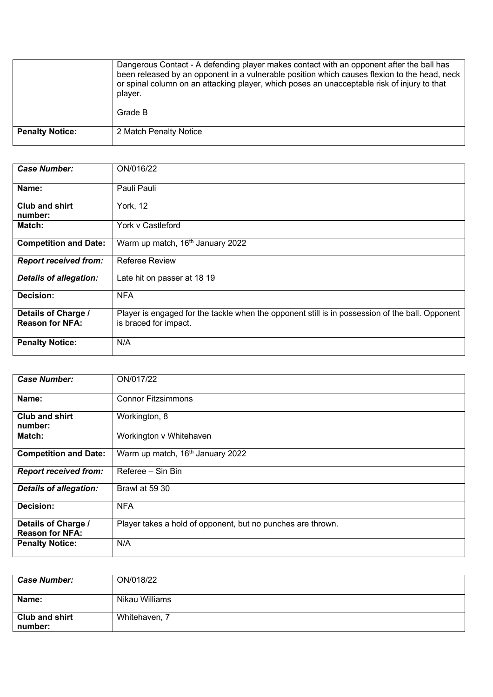|                        | Dangerous Contact - A defending player makes contact with an opponent after the ball has<br>been released by an opponent in a vulnerable position which causes flexion to the head, neck<br>or spinal column on an attacking player, which poses an unacceptable risk of injury to that<br>player.<br>Grade B |
|------------------------|---------------------------------------------------------------------------------------------------------------------------------------------------------------------------------------------------------------------------------------------------------------------------------------------------------------|
| <b>Penalty Notice:</b> | 2 Match Penalty Notice                                                                                                                                                                                                                                                                                        |

| <b>Case Number:</b>                           | ON/016/22                                                                                                                |
|-----------------------------------------------|--------------------------------------------------------------------------------------------------------------------------|
| Name:                                         | Pauli Pauli                                                                                                              |
| Club and shirt<br>number:                     | York, 12                                                                                                                 |
| Match:                                        | York v Castleford                                                                                                        |
| <b>Competition and Date:</b>                  | Warm up match, 16th January 2022                                                                                         |
| <b>Report received from:</b>                  | <b>Referee Review</b>                                                                                                    |
| <b>Details of allegation:</b>                 | Late hit on passer at 18 19                                                                                              |
| Decision:                                     | <b>NFA</b>                                                                                                               |
| Details of Charge /<br><b>Reason for NFA:</b> | Player is engaged for the tackle when the opponent still is in possession of the ball. Opponent<br>is braced for impact. |
| <b>Penalty Notice:</b>                        | N/A                                                                                                                      |

| <b>Case Number:</b>                           | ON/017/22                                                   |
|-----------------------------------------------|-------------------------------------------------------------|
| Name:                                         | <b>Connor Fitzsimmons</b>                                   |
| <b>Club and shirt</b><br>number:              | Workington, 8                                               |
| Match:                                        | Workington v Whitehaven                                     |
| <b>Competition and Date:</b>                  | Warm up match, 16th January 2022                            |
| <b>Report received from:</b>                  | Referee - Sin Bin                                           |
| <b>Details of allegation:</b>                 | Brawl at 59 30                                              |
| Decision:                                     | <b>NFA</b>                                                  |
| Details of Charge /<br><b>Reason for NFA:</b> | Player takes a hold of opponent, but no punches are thrown. |
| <b>Penalty Notice:</b>                        | N/A                                                         |

| <b>Case Number:</b>              | ON/018/22      |
|----------------------------------|----------------|
| Name:                            | Nikau Williams |
| <b>Club and shirt</b><br>number: | Whitehaven, 7  |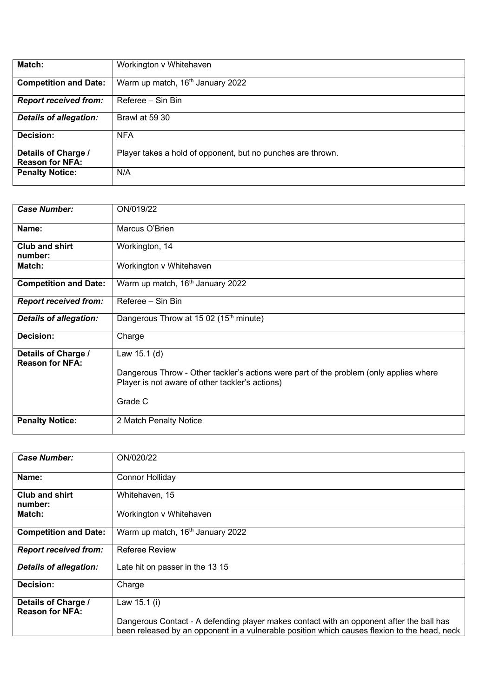| Match:                        | Workington v Whitehaven                                     |
|-------------------------------|-------------------------------------------------------------|
|                               |                                                             |
| <b>Competition and Date:</b>  | Warm up match, 16 <sup>th</sup> January 2022                |
| <b>Report received from:</b>  | Referee - Sin Bin                                           |
| <b>Details of allegation:</b> | Brawl at 59 30                                              |
| Decision:                     | <b>NFA</b>                                                  |
| Details of Charge /           | Player takes a hold of opponent, but no punches are thrown. |
| <b>Reason for NFA:</b>        |                                                             |
| <b>Penalty Notice:</b>        | N/A                                                         |
|                               |                                                             |

| <b>Case Number:</b>                           | ON/019/22                                                                                                                                                            |
|-----------------------------------------------|----------------------------------------------------------------------------------------------------------------------------------------------------------------------|
| Name:                                         | Marcus O'Brien                                                                                                                                                       |
| Club and shirt<br>number:                     | Workington, 14                                                                                                                                                       |
| Match:                                        | Workington v Whitehaven                                                                                                                                              |
| <b>Competition and Date:</b>                  | Warm up match, 16 <sup>th</sup> January 2022                                                                                                                         |
| <b>Report received from:</b>                  | Referee - Sin Bin                                                                                                                                                    |
| <b>Details of allegation:</b>                 | Dangerous Throw at 15 02 (15 <sup>th</sup> minute)                                                                                                                   |
| <b>Decision:</b>                              | Charge                                                                                                                                                               |
| Details of Charge /<br><b>Reason for NFA:</b> | Law 15.1 (d)<br>Dangerous Throw - Other tackler's actions were part of the problem (only applies where<br>Player is not aware of other tackler's actions)<br>Grade C |
| <b>Penalty Notice:</b>                        | 2 Match Penalty Notice                                                                                                                                               |

| <b>Case Number:</b>              | ON/020/22                                                                                                                                                                                |
|----------------------------------|------------------------------------------------------------------------------------------------------------------------------------------------------------------------------------------|
|                                  |                                                                                                                                                                                          |
| Name:                            | <b>Connor Holliday</b>                                                                                                                                                                   |
| <b>Club and shirt</b><br>number: | Whitehaven, 15                                                                                                                                                                           |
| Match:                           | Workington v Whitehaven                                                                                                                                                                  |
| <b>Competition and Date:</b>     | Warm up match, 16 <sup>th</sup> January 2022                                                                                                                                             |
| <b>Report received from:</b>     | <b>Referee Review</b>                                                                                                                                                                    |
| <b>Details of allegation:</b>    | Late hit on passer in the 13 15                                                                                                                                                          |
| Decision:                        | Charge                                                                                                                                                                                   |
| Details of Charge /              | Law 15.1 (i)                                                                                                                                                                             |
| <b>Reason for NFA:</b>           |                                                                                                                                                                                          |
|                                  | Dangerous Contact - A defending player makes contact with an opponent after the ball has<br>been released by an opponent in a vulnerable position which causes flexion to the head, neck |